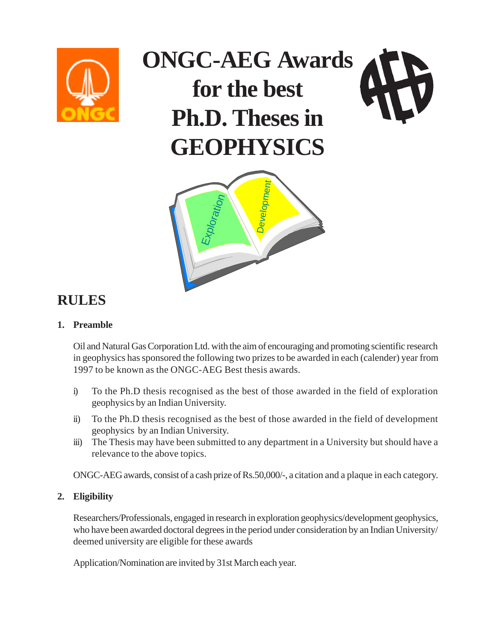

# **ONGC-AEG Awards for the best Ph.D. Theses in GEOPHYSICS**



### **RULES**

#### **1. Preamble**

Oil and Natural Gas Corporation Ltd. with the aim of encouraging and promoting scientific research in geophysics has sponsored the following two prizes to be awarded in each (calender) year from 1997 to be known as the ONGC-AEG Best thesis awards.

- i) To the Ph.D thesis recognised as the best of those awarded in the field of exploration geophysics by an Indian University.
- ii) To the Ph.D thesis recognised as the best of those awarded in the field of development geophysics by an Indian University.
- iii) The Thesis may have been submitted to any department in a University but should have a relevance to the above topics.

ONGC-AEG awards, consist of a cash prize of Rs.50,000/-, a citation and a plaque in each category.

#### **2. Eligibility**

Researchers/Professionals, engaged in research in exploration geophysics/development geophysics, who have been awarded doctoral degrees in the period under consideration by an Indian University/ deemed university are eligible for these awards

Application/Nomination are invited by 31st March each year.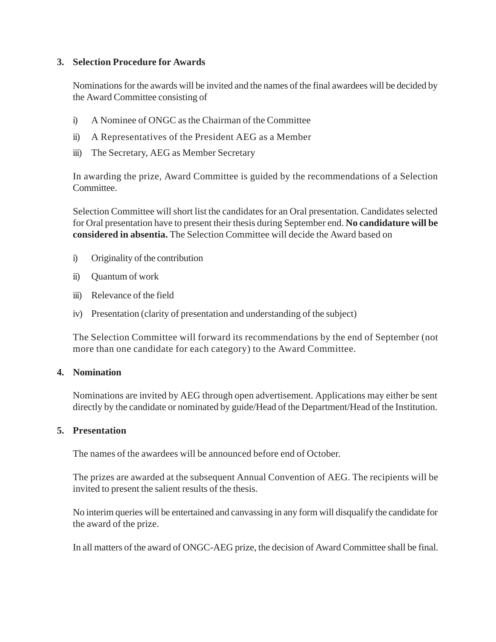#### **3. Selection Procedure for Awards**

Nominations for the awards will be invited and the names of the final awardees will be decided by the Award Committee consisting of

- i) A Nominee of ONGC as the Chairman of the Committee
- ii) A Representatives of the President AEG as a Member
- iii) The Secretary, AEG as Member Secretary

In awarding the prize, Award Committee is guided by the recommendations of a Selection Committee.

Selection Committee will short list the candidates for an Oral presentation. Candidates selected for Oral presentation have to present their thesis during September end. **No candidature will be considered in absentia.** The Selection Committee will decide the Award based on

- i) Originality of the contribution
- ii) Quantum of work
- iii) Relevance of the field
- iv) Presentation (clarity of presentation and understanding of the subject)

The Selection Committee will forward its recommendations by the end of September (not more than one candidate for each category) to the Award Committee.

#### **4. Nomination**

Nominations are invited by AEG through open advertisement. Applications may either be sent directly by the candidate or nominated by guide/Head of the Department/Head of the Institution.

#### **5. Presentation**

The names of the awardees will be announced before end of October.

The prizes are awarded at the subsequent Annual Convention of AEG. The recipients will be invited to present the salient results of the thesis.

No interim queries will be entertained and canvassing in any form will disqualify the candidate for the award of the prize.

In all matters of the award of ONGC-AEG prize, the decision of Award Committee shall be final.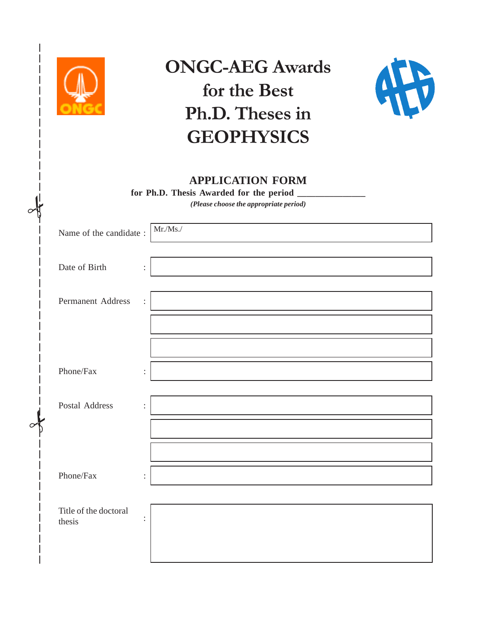

 $\frac{1}{2}$ 

 $\frac{1}{2}$ 

## ONGC-AEG Awards for the Best Ph.D. Theses in **GEOPHYSICS**



#### **APPLICATION FORM**

for Ph.D. Thesis Awarded for the period

*(Please choose the appropriate period)*

| Name of the candidate : | $\rm{Mr.}/\rm{Ms.}/$       |
|-------------------------|----------------------------|
|                         |                            |
|                         |                            |
| Date of Birth           | $\ddot{\cdot}$             |
|                         |                            |
| Permanent Address       | $\ddot{\ddot{\phantom{}}}$ |
|                         |                            |
|                         |                            |
|                         |                            |
|                         |                            |
| Phone/Fax               | $\ddot{\cdot}$             |
|                         |                            |
| Postal Address          | $\ddot{\cdot}$             |
|                         |                            |
|                         |                            |
|                         |                            |
|                         |                            |
|                         |                            |
| Phone/Fax               | $\ddot{\cdot}$             |
|                         |                            |
|                         |                            |
| Title of the doctoral   | $\ddot{\cdot}$             |
| thesis                  |                            |
|                         |                            |
|                         |                            |
|                         |                            |